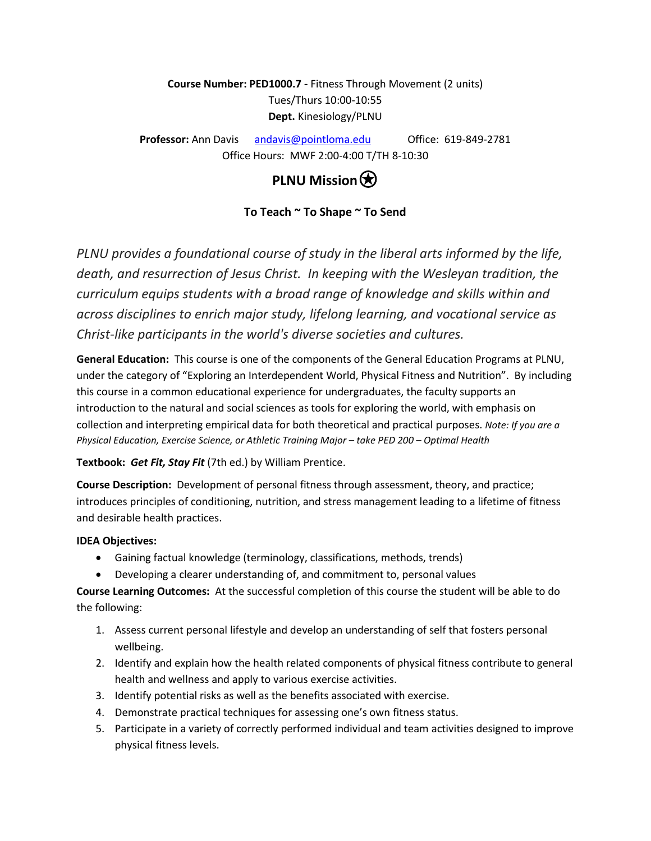**Course Number: PED1000.7 -** Fitness Through Movement (2 units) Tues/Thurs 10:00-10:55 **Dept.** Kinesiology/PLNU

**Professor:** Ann Davis [andavis@pointloma.edu](mailto:andavis@pointloma.edu) Office: 619-849-2781 Office Hours: MWF 2:00-4:00 T/TH 8-10:30

# **PLNU Mission**<sup> $\bigotimes$ </sup>

### **To Teach ~ To Shape ~ To Send**

*PLNU provides a foundational course of study in the liberal arts informed by the life, death, and resurrection of Jesus Christ. In keeping with the Wesleyan tradition, the curriculum equips students with a broad range of knowledge and skills within and across disciplines to enrich major study, lifelong learning, and vocational service as Christ-like participants in the world's diverse societies and cultures.*

**General Education:** This course is one of the components of the General Education Programs at PLNU, under the category of "Exploring an Interdependent World, Physical Fitness and Nutrition". By including this course in a common educational experience for undergraduates, the faculty supports an introduction to the natural and social sciences as tools for exploring the world, with emphasis on collection and interpreting empirical data for both theoretical and practical purposes. *Note: If you are a Physical Education, Exercise Science, or Athletic Training Major – take PED 200 – Optimal Health*

#### **Textbook:** *Get Fit, Stay Fit* (7th ed.) by William Prentice.

**Course Description:** Development of personal fitness through assessment, theory, and practice; introduces principles of conditioning, nutrition, and stress management leading to a lifetime of fitness and desirable health practices.

#### **IDEA Objectives:**

- Gaining factual knowledge (terminology, classifications, methods, trends)
- Developing a clearer understanding of, and commitment to, personal values

**Course Learning Outcomes:** At the successful completion of this course the student will be able to do the following:

- 1. Assess current personal lifestyle and develop an understanding of self that fosters personal wellbeing.
- 2. Identify and explain how the health related components of physical fitness contribute to general health and wellness and apply to various exercise activities.
- 3. Identify potential risks as well as the benefits associated with exercise.
- 4. Demonstrate practical techniques for assessing one's own fitness status.
- 5. Participate in a variety of correctly performed individual and team activities designed to improve physical fitness levels.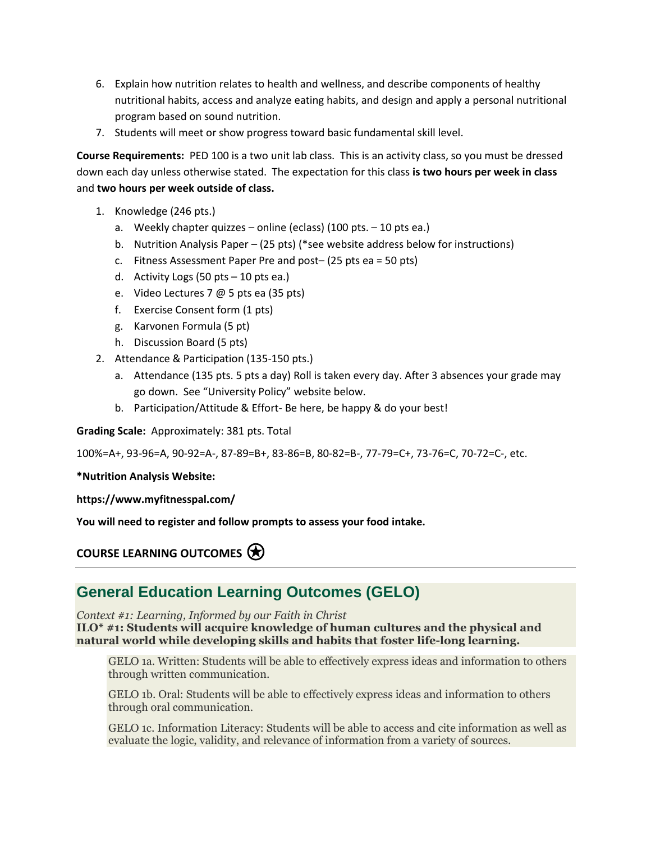- 6. Explain how nutrition relates to health and wellness, and describe components of healthy nutritional habits, access and analyze eating habits, and design and apply a personal nutritional program based on sound nutrition.
- 7. Students will meet or show progress toward basic fundamental skill level.

**Course Requirements:** PED 100 is a two unit lab class. This is an activity class, so you must be dressed down each day unless otherwise stated. The expectation for this class **is two hours per week in class** and **two hours per week outside of class.** 

- 1. Knowledge (246 pts.)
	- a. Weekly chapter quizzes online (eclass) (100 pts. 10 pts ea.)
	- b. Nutrition Analysis Paper (25 pts) (\*see website address below for instructions)
	- c. Fitness Assessment Paper Pre and post– (25 pts ea = 50 pts)
	- d. Activity Logs (50 pts 10 pts ea.)
	- e. Video Lectures 7 @ 5 pts ea (35 pts)
	- f. Exercise Consent form (1 pts)
	- g. Karvonen Formula (5 pt)
	- h. Discussion Board (5 pts)
- 2. Attendance & Participation (135-150 pts.)
	- a. Attendance (135 pts. 5 pts a day) Roll is taken every day. After 3 absences your grade may go down. See "University Policy" website below.
	- b. Participation/Attitude & Effort- Be here, be happy & do your best!

**Grading Scale:** Approximately: 381 pts. Total

100%=A+, 93-96=A, 90-92=A-, 87-89=B+, 83-86=B, 80-82=B-, 77-79=C+, 73-76=C, 70-72=C-, etc.

#### **\*Nutrition Analysis Website:**

**https://www.myfitnesspal.com/**

**You will need to register and follow prompts to assess your food intake.** 

**COURSE LEARNING OUTCOMES**⍟

### **General Education Learning Outcomes (GELO)**

*Context #1: Learning, Informed by our Faith in Christ* **ILO\* #1: Students will acquire knowledge of human cultures and the physical and natural world while developing skills and habits that foster life-long learning.**

GELO 1a. Written: Students will be able to effectively express ideas and information to others through written communication.

GELO 1b. Oral: Students will be able to effectively express ideas and information to others through oral communication.

GELO 1c. Information Literacy: Students will be able to access and cite information as well as evaluate the logic, validity, and relevance of information from a variety of sources.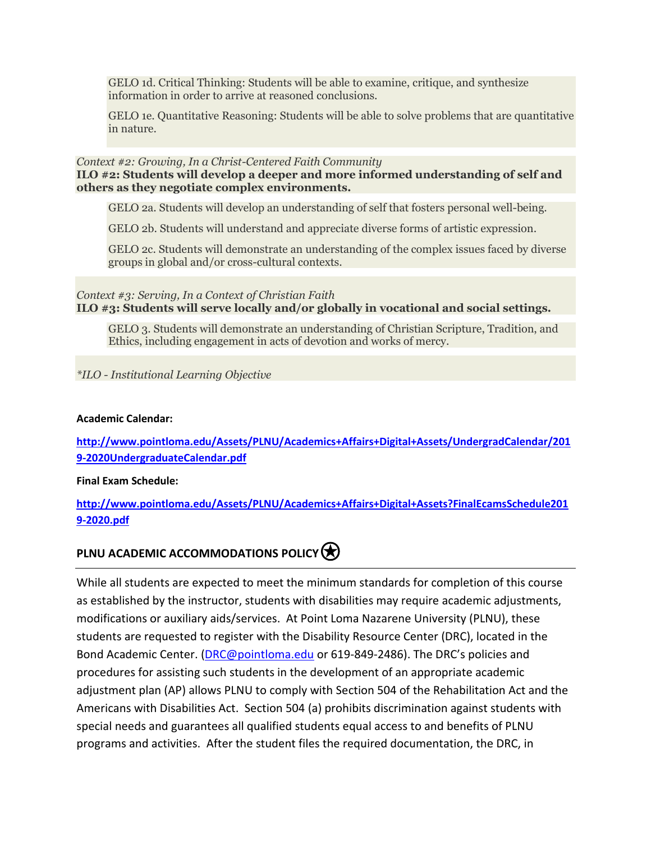GELO 1d. Critical Thinking: Students will be able to examine, critique, and synthesize information in order to arrive at reasoned conclusions.

GELO 1e. Quantitative Reasoning: Students will be able to solve problems that are quantitative in nature.

#### *Context #2: Growing, In a Christ-Centered Faith Community*

#### **ILO #2: Students will develop a deeper and more informed understanding of self and others as they negotiate complex environments.**

GELO 2a. Students will develop an understanding of self that fosters personal well-being.

GELO 2b. Students will understand and appreciate diverse forms of artistic expression.

GELO 2c. Students will demonstrate an understanding of the complex issues faced by diverse groups in global and/or cross-cultural contexts.

#### *Context #3: Serving, In a Context of Christian Faith* **ILO #3: Students will serve locally and/or globally in vocational and social settings.**

GELO 3. Students will demonstrate an understanding of Christian Scripture, Tradition, and Ethics, including engagement in acts of devotion and works of mercy.

*\*ILO - Institutional Learning Objective*

#### **Academic Calendar:**

**[http://www.pointloma.edu/Assets/PLNU/Academics+Affairs+Digital+Assets/UndergradCalendar/201](http://www.pointloma.edu/Assets/PLNU/Academics+Affairs+Digital+Assets/UndergradCalendar/2019-2020UndergraduateCalendar.pdf) [9-2020UndergraduateCalendar.pdf](http://www.pointloma.edu/Assets/PLNU/Academics+Affairs+Digital+Assets/UndergradCalendar/2019-2020UndergraduateCalendar.pdf)**

**Final Exam Schedule:**

**[http://www.pointloma.edu/Assets/PLNU/Academics+Affairs+Digital+Assets?FinalEcamsSchedule201](http://www.pointloma.edu/Assets/PLNU/Academics+Affairs+Digital+Assets?FinalEcamsSchedule2019-2020.pdf) [9-2020.pdf](http://www.pointloma.edu/Assets/PLNU/Academics+Affairs+Digital+Assets?FinalEcamsSchedule2019-2020.pdf)**

### **PLNU ACADEMIC ACCOMMODATIONS POLICY**

While all students are expected to meet the minimum standards for completion of this course as established by the instructor, students with disabilities may require academic adjustments, modifications or auxiliary aids/services. At Point Loma Nazarene University (PLNU), these students are requested to register with the Disability Resource Center (DRC), located in the Bond Academic Center. [\(DRC@pointloma.edu](mailto:DRC@pointloma.edu) or 619-849-2486). The DRC's policies and procedures for assisting such students in the development of an appropriate academic adjustment plan (AP) allows PLNU to comply with Section 504 of the Rehabilitation Act and the Americans with Disabilities Act. Section 504 (a) prohibits discrimination against students with special needs and guarantees all qualified students equal access to and benefits of PLNU programs and activities. After the student files the required documentation, the DRC, in